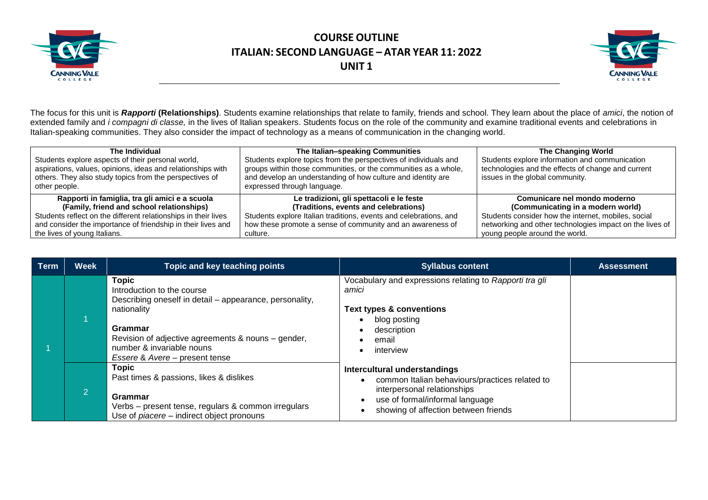



The focus for this unit is *Rapporti* **(Relationships)**. Students examine relationships that relate to family, friends and school. They learn about the place of *amici*, the notion of extended family and *i compagni di classe,* in the lives of Italian speakers. Students focus on the role of the community and examine traditional events and celebrations in Italian-speaking communities. They also consider the impact of technology as a means of communication in the changing world.

| The Individual<br>Students explore aspects of their personal world,<br>aspirations, values, opinions, ideas and relationships with<br>others. They also study topics from the perspectives of<br>other people. | The Italian-speaking Communities<br>Students explore topics from the perspectives of individuals and<br>groups within those communities, or the communities as a whole,<br>and develop an understanding of how culture and identity are<br>expressed through language. | The Changing World<br>Students explore information and communication<br>technologies and the effects of change and current<br>issues in the global community. |  |
|----------------------------------------------------------------------------------------------------------------------------------------------------------------------------------------------------------------|------------------------------------------------------------------------------------------------------------------------------------------------------------------------------------------------------------------------------------------------------------------------|---------------------------------------------------------------------------------------------------------------------------------------------------------------|--|
| Rapporti in famiglia, tra gli amici e a scuola                                                                                                                                                                 | Le tradizioni, gli spettacoli e le feste                                                                                                                                                                                                                               | Comunicare nel mondo moderno                                                                                                                                  |  |
| (Family, friend and school relationships)                                                                                                                                                                      | (Traditions, events and celebrations)                                                                                                                                                                                                                                  | (Communicating in a modern world)                                                                                                                             |  |
| Students reflect on the different relationships in their lives                                                                                                                                                 | Students explore Italian traditions, events and celebrations, and                                                                                                                                                                                                      | Students consider how the internet, mobiles, social                                                                                                           |  |
| and consider the importance of friendship in their lives and                                                                                                                                                   | how these promote a sense of community and an awareness of                                                                                                                                                                                                             | networking and other technologies impact on the lives of                                                                                                      |  |
| the lives of young Italians.                                                                                                                                                                                   | culture.                                                                                                                                                                                                                                                               | young people around the world.                                                                                                                                |  |

| <b>Term</b> | <b>Week</b>    | Topic and key teaching points                                                                                                                                                                                                                        | <b>Syllabus content</b>                                                                                                                                                                  | <b>Assessment</b> |
|-------------|----------------|------------------------------------------------------------------------------------------------------------------------------------------------------------------------------------------------------------------------------------------------------|------------------------------------------------------------------------------------------------------------------------------------------------------------------------------------------|-------------------|
|             |                | <b>Topic</b><br>Introduction to the course<br>Describing oneself in detail – appearance, personality,<br>nationality<br>Grammar<br>Revision of adjective agreements & nouns – gender,<br>number & invariable nouns<br>Essere & Avere – present tense | Vocabulary and expressions relating to Rapporti tra gli<br>amici<br><b>Text types &amp; conventions</b><br>blog posting<br>description<br>email<br>interview                             |                   |
|             | $\overline{2}$ | <b>Topic</b><br>Past times & passions, likes & dislikes<br>Grammar<br>Verbs – present tense, regulars & common irregulars<br>Use of <i>piacere</i> – indirect object pronouns                                                                        | Intercultural understandings<br>common Italian behaviours/practices related to<br>interpersonal relationships<br>use of formal/informal language<br>showing of affection between friends |                   |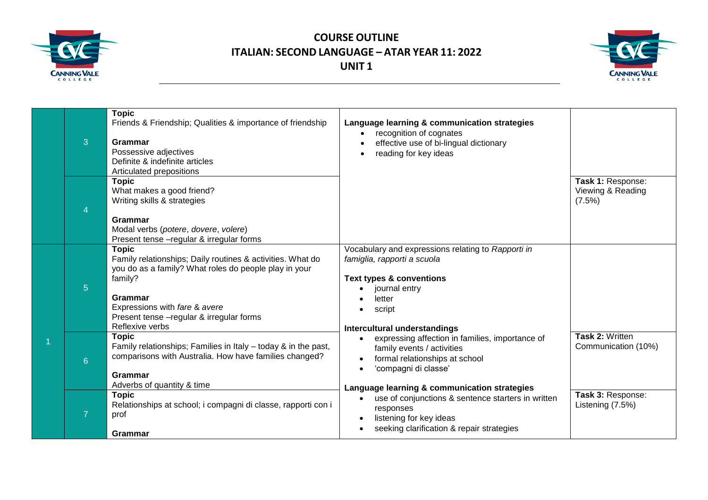



| 3              | <b>Topic</b><br>Friends & Friendship; Qualities & importance of friendship<br>Grammar<br>Possessive adjectives<br>Definite & indefinite articles<br>Articulated prepositions                                                                               | Language learning & communication strategies<br>recognition of cognates<br>effective use of bi-lingual dictionary<br>reading for key ideas                                                    |                                                  |
|----------------|------------------------------------------------------------------------------------------------------------------------------------------------------------------------------------------------------------------------------------------------------------|-----------------------------------------------------------------------------------------------------------------------------------------------------------------------------------------------|--------------------------------------------------|
| 4              | <b>Topic</b><br>What makes a good friend?<br>Writing skills & strategies<br>Grammar<br>Modal verbs (potere, dovere, volere)<br>Present tense - regular & irregular forms                                                                                   |                                                                                                                                                                                               | Task 1: Response:<br>Viewing & Reading<br>(7.5%) |
| 5 <sup>5</sup> | <b>Topic</b><br>Family relationships; Daily routines & activities. What do<br>you do as a family? What roles do people play in your<br>family?<br>Grammar<br>Expressions with fare & avere<br>Present tense - regular & irregular forms<br>Reflexive verbs | Vocabulary and expressions relating to Rapporti in<br>famiglia, rapporti a scuola<br><b>Text types &amp; conventions</b><br>journal entry<br>letter<br>script<br>Intercultural understandings |                                                  |
| 6 <sup>°</sup> | <b>Topic</b><br>Family relationships; Families in Italy - today & in the past,<br>comparisons with Australia. How have families changed?<br>Grammar<br>Adverbs of quantity & time                                                                          | expressing affection in families, importance of<br>family events / activities<br>formal relationships at school<br>'compagni di classe'<br>Language learning & communication strategies       | Task 2: Written<br>Communication (10%)           |
|                | <b>Topic</b><br>Relationships at school; i compagni di classe, rapporti con i<br>prof<br><b>Grammar</b>                                                                                                                                                    | use of conjunctions & sentence starters in written<br>$\bullet$<br>responses<br>listening for key ideas<br>seeking clarification & repair strategies                                          | Task 3: Response:<br>Listening (7.5%)            |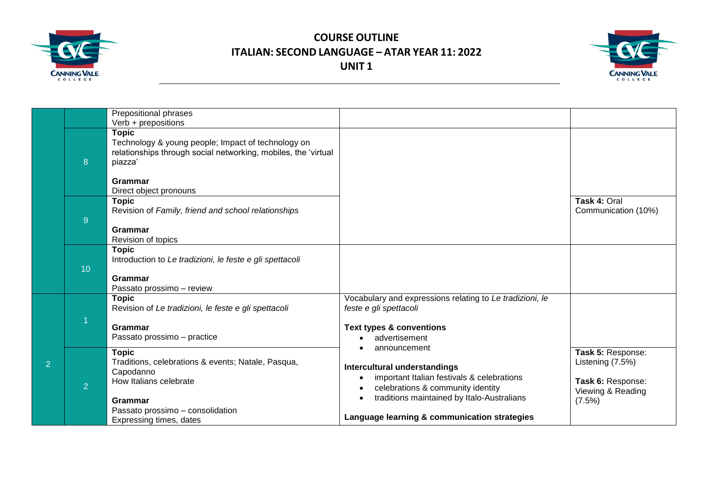



|                |                 | Prepositional phrases                                                                                                                           |                                                                                                                                 |                                                            |
|----------------|-----------------|-------------------------------------------------------------------------------------------------------------------------------------------------|---------------------------------------------------------------------------------------------------------------------------------|------------------------------------------------------------|
|                |                 | Verb + prepositions                                                                                                                             |                                                                                                                                 |                                                            |
|                | 8               | <b>Topic</b><br>Technology & young people; Impact of technology on<br>relationships through social networking, mobiles, the 'virtual<br>piazza' |                                                                                                                                 |                                                            |
|                |                 | <b>Grammar</b><br>Direct object pronouns                                                                                                        |                                                                                                                                 |                                                            |
|                | $\overline{9}$  | <b>Topic</b><br>Revision of Family, friend and school relationships                                                                             |                                                                                                                                 | Task 4: Oral<br>Communication (10%)                        |
|                |                 | Grammar<br>Revision of topics                                                                                                                   |                                                                                                                                 |                                                            |
|                | 10 <sup>1</sup> | <b>Topic</b><br>Introduction to Le tradizioni, le feste e gli spettacoli                                                                        |                                                                                                                                 |                                                            |
|                |                 | Grammar<br>Passato prossimo - review                                                                                                            |                                                                                                                                 |                                                            |
|                |                 | <b>Topic</b><br>Revision of Le tradizioni, le feste e gli spettacoli                                                                            | Vocabulary and expressions relating to Le tradizioni, le<br>feste e gli spettacoli                                              |                                                            |
| $\overline{2}$ |                 | <b>Grammar</b><br>Passato prossimo - practice                                                                                                   | <b>Text types &amp; conventions</b><br>advertisement                                                                            |                                                            |
|                | 2               | <b>Topic</b><br>Traditions, celebrations & events; Natale, Pasqua,<br>Capodanno<br>How Italians celebrate                                       | announcement<br>Intercultural understandings<br>important Italian festivals & celebrations<br>celebrations & community identity | Task 5: Response:<br>Listening (7.5%)<br>Task 6: Response: |
|                |                 | Grammar<br>Passato prossimo - consolidation<br>Expressing times, dates                                                                          | traditions maintained by Italo-Australians<br>Language learning & communication strategies                                      | Viewing & Reading<br>$(7.5\%)$                             |